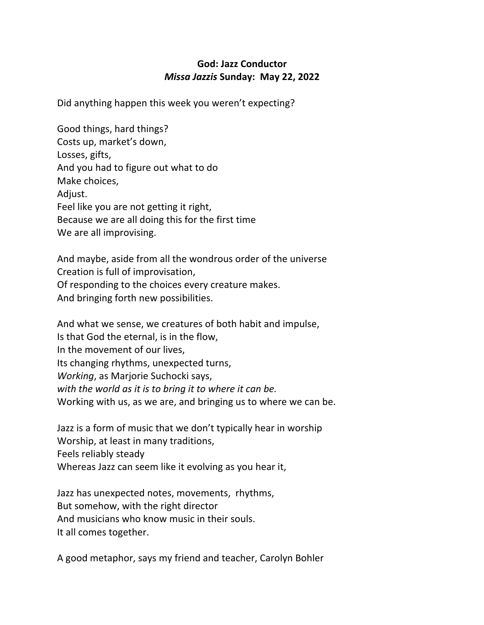## **God: Jazz Conductor** *Missa Jazzis* **Sunday: May 22, 2022**

Did anything happen this week you weren't expecting?

Good things, hard things? Costs up, market's down, Losses, gifts, And you had to figure out what to do Make choices, Adjust. Feel like you are not getting it right, Because we are all doing this for the first time We are all improvising.

And maybe, aside from all the wondrous order of the universe Creation is full of improvisation, Of responding to the choices every creature makes. And bringing forth new possibilities.

And what we sense, we creatures of both habit and impulse, Is that God the eternal, is in the flow, In the movement of our lives, Its changing rhythms, unexpected turns, *Working*, as Marjorie Suchocki says, *with the world as it is to bring it to where it can be.*  Working with us, as we are, and bringing us to where we can be.

Jazz is a form of music that we don't typically hear in worship Worship, at least in many traditions, Feels reliably steady Whereas Jazz can seem like it evolving as you hear it,

Jazz has unexpected notes, movements, rhythms, But somehow, with the right director And musicians who know music in their souls. It all comes together.

A good metaphor, says my friend and teacher, Carolyn Bohler